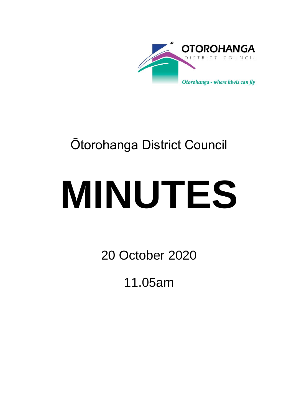

## Ōtorohanga District Council

# **MINUTES**

20 October 2020

11.05am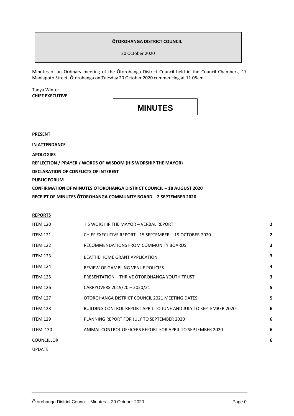#### **ŌTOROHANGA DISTRICT COUNCIL**

20 October 2020

Minutes of an Ordinary meeting of the Ōtorohanga District Council held in the Council Chambers, 17 Maniapoto Street, Ōtorohanga on Tuesday 20 October 2020 commencing at 11.05am.

Tanya Winter **CHIEF EXECUTIVE**

### **MINUTES**

**PRESENT**

**IN ATTENDANCE**

**APOLOGIES**

**REFLECTION / PRAYER / WORDS OF WISDOM (HIS WORSHIP THE MAYOR)**

**DECLARATION OF CONFLICTS OF INTEREST**

**PUBLIC FORUM**

**CONFIRMATION OF MINUTES ŌTOROHANGA DISTRICT COUNCIL – 18 AUGUST 2020 RECEIPT OF MINUTES ŌTOROHANGA COMMUNITY BOARD – 2 SEPTEMBER 2020**

#### **REPORTS**

| <b>ITEM 120</b>   | HIS WORSHIP THE MAYOR - VERBAL REPORT                                   | $\overline{2}$ |
|-------------------|-------------------------------------------------------------------------|----------------|
| <b>ITEM 121</b>   | CHIEF EXECUTIVE REPORT - 15 SEPTEMBER - 19 OCTOBER 2020                 | $\overline{2}$ |
| <b>ITEM 122</b>   | RECOMMENDATIONS FROM COMMUNITY BOARDS                                   | 3              |
| <b>ITEM 123</b>   | <b>BEATTIE HOME GRANT APPLICATION</b>                                   | 3              |
| <b>ITEM 124</b>   | <b>REVIEW OF GAMBLING VENUE POLICIES</b>                                | 4              |
| <b>ITEM 125</b>   | PRESENTATION - THRIVE OTOROHANGA YOUTH TRUST                            | 3              |
| <b>ITEM 126</b>   | CARRYOVERS 2019/20 - 2020/21                                            | 5              |
| <b>ITEM 127</b>   | ŌTOROHANGA DISTRICT COUNCIL 2021 MEETING DATES                          | 5              |
| <b>ITEM 128</b>   | <b>BUILDING CONTROL REPORT APRIL TO JUNE AND JULY TO SEPTEMBER 2020</b> | 6              |
| <b>ITEM 129</b>   | PLANNING REPORT FOR JULY TO SEPTEMBER 2020                              | 6              |
| <b>ITEM 130</b>   | ANIMAL CONTROL OFFICERS REPORT FOR APRIL TO SEPTEMBER 2020              | 6              |
| <b>COUNCILLOR</b> |                                                                         | 6              |
| <b>UPDATE</b>     |                                                                         |                |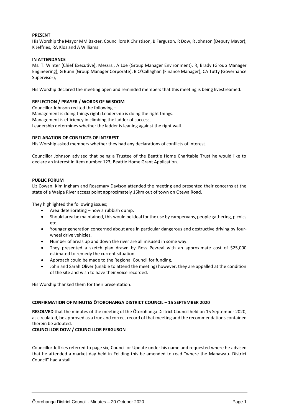#### **PRESENT**

His Worship the Mayor MM Baxter, Councillors K Christison, B Ferguson, R Dow, R Johnson (Deputy Mayor), K Jeffries, RA Klos and A Williams

#### **IN ATTENDANCE**

Ms. T. Winter (Chief Executive), Messrs., A Loe (Group Manager Environment), R, Brady (Group Manager Engineering), G Bunn (Group Manager Corporate), B O'Callaghan (Finance Manager), CA Tutty (Governance Supervisor),

His Worship declared the meeting open and reminded members that this meeting is being livestreamed.

#### **REFLECTION / PRAYER / WORDS OF WISDOM**

Councillor Johnson recited the following – Management is doing things right; Leadership is doing the right things. Management is efficiency in climbing the ladder of success, Leadership determines whether the ladder is leaning against the right wall.

#### **DECLARATION OF CONFLICTS OF INTEREST**

His Worship asked members whether they had any declarations of conflicts of interest.

Councillor Johnson advised that being a Trustee of the Beattie Home Charitable Trust he would like to declare an interest in item number 123, Beattie Home Grant Application.

#### **PUBLIC FORUM**

Liz Cowan, Kim Ingham and Rosemary Davison attended the meeting and presented their concerns at the state of a Waipa River access point approximately 15km out of town on Otewa Road.

They highlighted the following issues;

- Area deteriorating now a rubbish dump.
- Should area be maintained, this would be ideal for the use by campervans, people gathering, picnics etc.
- Younger generation concerned about area in particular dangerous and destructive driving by fourwheel drive vehicles.
- Number of areas up and down the river are all misused in some way.
- They presented a sketch plan drawn by Ross Pevreal with an approximate cost of \$25,000 estimated to remedy the current situation.
- Approach could be made to the Regional Council for funding.
- John and Sarah Oliver (unable to attend the meeting) however, they are appalled at the condition of the site and wish to have their voice recorded.

His Worship thanked them for their presentation.

#### **CONFIRMATION OF MINUTES ŌTOROHANGA DISTRICT COUNCIL – 15 SEPTEMBER 2020**

**RESOLVED** that the minutes of the meeting of the Ōtorohanga District Council held on 15 September 2020, as circulated, be approved as a true and correct record of that meeting and the recommendations contained therein be adopted.

**COUNCILLOR DOW / COUNCILLOR FERGUSON**

Councillor Jeffries referred to page six, Councillor Update under his name and requested where he advised that he attended a market day held in Feilding this be amended to read "where the Manawatu District Council" had a stall.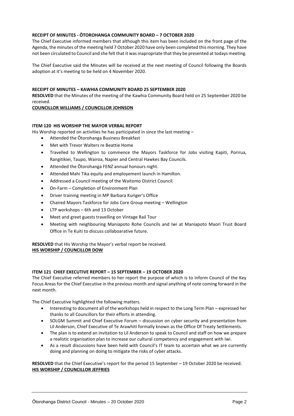#### **RECEIPT OF MINUTES - ŌTOROHANGA COMMUNITY BOARD – 7 OCTOBER 2020**

The Chief Executive informed members that although this item has been included on the front page of the Agenda, the minutes of the meeting held 7 October 2020 have only been completed this morning. They have not been circulated to Council and she felt that it was inapropriate that they be presented at todays meeting.

The Chief Executive said the Minutes will be received at the next meeting of Council following the Boards adoption at it's meeting to be held on 4 November 2020.

#### **RECEIPT OF MINUTES – KAWHIA COMMUNITY BOARD 25 SEPTEMBER 2020**

**RESOLVED** that the Minutes of the meeting of the Kawhia Community Board held on 25 September 2020 be received.

#### **COUNCILLOR WILLIAMS / COUNCILLOR JOHNSON**

#### **ITEM 120 HIS WORSHIP THE MAYOR VERBAL REPORT**

His Worship reported on activities he has participated in since the last meeting -

- Attended the Ōtorohanga Business Breakfast
- Met with Trevor Walters re Beattie Home
- Travelled to Wellington to commence the Mayors Taskforce for Jobs visiting Kapiti, Porirua, Rangitikiei, Taupo, Wairoa, Napier and Central Hawkes Bay Councils.
- Attended the Ōtorohanga FENZ annual honours night.
- Attended Mahi Tika equity and employement launch in Hamilton.
- Addressed a Council meeting of the Waitomo District Council.
- On-Farm Completion of Environment Plan
- Driver training meeting in MP Barbara Kuriger's Office
- Chaired Mayors Taskforce for Jobs Core Group meeting Wellington
- LTP workshops 6th and 13 October
- Meet and greet guests travelling on Vintage Rail Tour
- Meeting with neighbouring Maniapoto Rohe Councils and Iwi at Maniapoto Maori Trust Board Office in Te Kuiti to discuss collaboarative future.

**RESOLVED** that His Worship the Mayor's verbal report be received. **HIS WORSHIP / COUNCILLOR DOW**

#### **ITEM 121 CHIEF EXECUTIVE REPORT – 15 SEPTEMBER – 19 OCTOBER 2020**

The Chief Executive referred members to her report the purpose of which is to inform Council of the Key Focus Areas for the Chief Executive in the previous month and signal anything of note coming forward in the next month.

The Chief Executive highlighted the following matters.

- Interesting to document all of the workshops held in respect to the Long Term Plan expressed her thanks to all Councillors for their efforts in attending.
- SOLGM Summit and Chief Executive Forum discussion on cyber security and presentation from Lil Anderson, Chief Executive of Te Arawhiti formally known as the Office Of Treaty Settlements.
- The plan is to extend an invitation to Lil Anderson to speak to Council and staff on how we prepare a realistic organisation plan to increase our cultural competency and engagement with Iwi.
- As a result discussions have been held with Council's IT team to accertain what we are currently doing and planning on doing to mitigate the risks of cyber attacks.

**RESOLVED** that the Chief Executive's report for the period 15 September – 19 October 2020 be received. **HIS WORSHIP / COUNCILLOR JEFFRIES**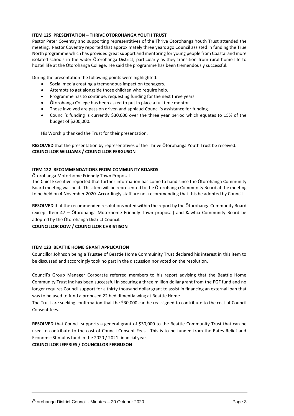#### **ITEM 125 PRESENTATION – THRIVE ŌTOROHANGA YOUTH TRUST**

Pastor Peter Coventry and supporting representitives of the Thrive Ōtorohanga Youth Trust attended the meeting. Pastor Coventry reported that approximately three years ago Council assisted in funding the True North programme which has provided great support and mentoring for young people from Coastal and more isolated schools in the wider Ōtorohanga District, particularly as they transition from rural home life to hostel life at the Ōtorohanga College. He said the programme has been tremendously successful.

During the presentation the following points were highlighted:

- Social media creating a tremendous impact on teenagers.
- Attempts to get alongside those children who require help.
- Programme has to continue, requesting funding for the next three years.
- Ōtorohanga College has been asked to put in place a full time mentor.
- Those involved are passion driven and applaud Council's assistance for funding.
- Council's funding is currently \$30,000 over the three year period which equates to 15% of the budget of \$200,000.

His Worship thanked the Trust for their presentation.

**RESOLVED** that the presentation by representitives of the Thrive Ōtorohanga Youth Trust be received. **COUNCILLOR WILLIAMS / COUNCILLOR FERGUSON**

#### **ITEM 122 RECOMMENDATIONS FROM COMMUNITY BOARDS**

#### Ōtorohanga Motorhome Friendly Town Proposal

The Chief Executive reported that further information has come to hand since the Ōtorohanga Community Board meeting was held. This item will be represented to the Ōtorohanga Community Board at the meeting to be held on 4 November 2020. Accordingly staff are not recommending that this be adopted by Council.

**RESOLVED** that the recommended resolutions noted within the report by the Ōtorohanga Community Board (except Item 47 – Ōtorohanga Motorhome Friendly Town proposal) and Kāwhia Community Board be adopted by the Ōtorohanga District Council.

#### **COUNCILLOR DOW / COUNCILLOR CHRISTISON**

#### **ITEM 123 BEATTIE HOME GRANT APPLICATION**

Councillor Johnson being a Trustee of Beattie Home Commuinity Trust declared his interest in this item to be discussed and accordingly took no part in the discussion nor voted on the resolution.

Council's Group Manager Corporate referred members to his report advising that the Beattie Home Community Trust Inc has been successful in securing a three million dollar grant from the PGF fund and no longer requires Council support for a thirty thousand dollar grant to assist in financing an external loan that was to be used to fund a proposed 22 bed dimentia wing at Beattie Home.

The Trust are seeking confirmation that the \$30,000 can be reassigned to contribute to the cost of Council Consent fees.

**RESOLVED** that Council supports a general grant of \$30,000 to the Beattie Community Trust that can be used to contribute to the cost of Council Consent Fees. This is to be funded from the Rates Relief and Economic Stimulus fund in the 2020 / 2021 financial year.

#### **COUNCILLOR JEFFRIES / COUNCILLOR FERGUSON**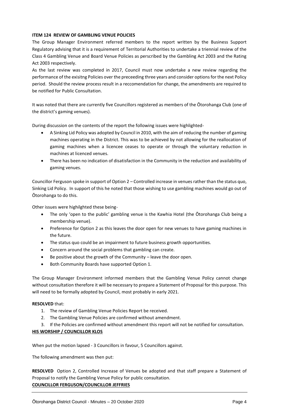#### **ITEM 124 REVIEW OF GAMBLING VENUE POLICIES**

The Group Manager Environment referred members to the report written by the Business Support Regulatory advising that it is a requirement of Territorial Authorities to undertake a triennial review of the Class 4 Gambling Venue and Board Venue Policies as perscribed by the Gambling Act 2003 and the Rating Act 2003 respectively.

As the last review was completed in 2017, Council must now undertake a new review regarding the performance of the exisitng Policies over the preceeding three years and consider options for the next Policy period. Should the review process result in a reccomendation for change, the amendments are required to be notified for Public Consultation.

It was noted that there are currently five Councillors registered as members of the Ōtorohanga Club (one of the district's gaming venues).

During discussion on the contents of the report the following issues were highlighted-

- A Sinking Lid Policy was adopted by Council in 2010, with the aim of reducing the number of gaming machines operating in the District. This was to be achieved by not allowing for the reallocation of gaming machines when a licencee ceases to operate or through the voluntary reduction in machines at licenced venues.
- There has been no indication of disatisfaction in the Community in the reduction and availability of gaming venues.

Councillor Ferguson spoke in support of Option 2 – Controlled increase in venues rather than the status quo, Sinking Lid Policy. In support of this he noted that those wishing to use gambling machines would go out of Ōtorohanga to do this.

Other issues were highilghted these being-

- The only 'open to the public' gambling venue is the Kawhia Hotel (the Ōtorohanga Club being a membership venue).
- Preference for Option 2 as this leaves the door open for new venues to have gaming machines in the future.
- The status quo could be an impairment to future business growth opportunities.
- Concern around the social problems that gambling can create.
- Be positive about the growth of the Community leave the door open.
- Both Community Boards have supported Option 1.

The Group Manager Environment informed members that the Gambling Venue Policy cannot change without consultation therefore it will be necessary to prepare a Statement of Proposal for this purpose. This will need to be formally adopted by Council, most probably in early 2021.

#### **RESOLVED** that:

- 1. The review of Gambling Venue Policies Report be received.
- 2. The Gambling Venue Policies are confirmed without amendment.
- 3. If the Policies are confirmed without amendment this report will not be notified for consultation.

#### **HIS WORSHIP / COUNCILLOR KLOS**

When put the motion lapsed - 3 Councillors in favour, 5 Councillors against.

The following amendment was then put:

**RESOLVED** Option 2, Controlled Increase of Venues be adopted and that staff prepare a Statement of Proposal to notify the Gambling Venue Policy for public consultation. **COUNCILLOR FERGUSON/COUNCILLOR JEFFRIES**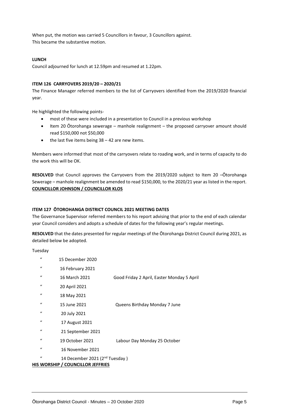When put, the motion was carried 5 Councillors in favour, 3 Councillors against. This became the substantive motion.

#### **LUNCH**

Council adjourned for lunch at 12.59pm and resumed at 1.22pm.

#### **ITEM 126 CARRYOVERS 2019/20 – 2020/21**

The Finance Manager referred members to the list of Carryovers identified from the 2019/2020 financial year.

He highlighted the following points-

- most of these were included in a presentation to Council in a previous workshop
- Item 20 Ōtorohanga sewerage manhole realignment the proposed carryover amount should read \$150,000 not \$50,000
- $\bullet$  the last five items being 38 42 are new items.

Members were informed that most of the carryovers relate to roading work, and in terms of capacity to do the work this will be OK.

**RESOLVED** that Council approves the Carryovers from the 2019/2020 subject to Item 20 –Ōtorohanga Sewerage – manhole realignment be amended to read \$150,000, to the 2020/21 year as listed in the report. **COUNCILLOR JOHNSON / COUNCILLOR KLOS**

#### **ITEM 127 ŌTOROHANGA DISTRICT COUNCIL 2021 MEETING DATES**

The Governance Supervisor referred members to his report advising that prior to the end of each calendar year Council considers and adopts a schedule of dates for the following year's regular meetings.

**RESOLVED** that the dates presented for regular meetings of the Ōtorohanga District Council during 2021, as detailed below be adopted.

Tuesday

- " 15 December 2020
- " 16 February 2021
- " 16 March 2021 Good Friday 2 April, Easter Monday 5 April
- " 20 April 2021
- " 18 May 2021
- " 15 June 2021 Queens Birthday Monday 7 June
- " 20 July 2021
- " 17 August 2021
- " 21 September 2021
- " 19 October 2021 Labour Day Monday 25 October
- " 16 November 2021

" 14 December 2021 (2nd Tuesday )

#### **HIS WORSHIP / COUNCILLOR JEFFRIES**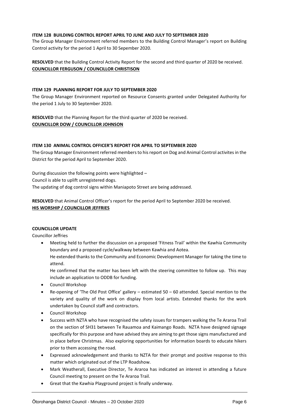#### **ITEM 128 BUILDING CONTROL REPORT APRIL TO JUNE AND JULY TO SEPTEMBER 2020**

The Group Manager Environment referred members to the Building Control Manager's report on Building Control activity for the period 1 April to 30 Sepember 2020.

**RESOLVED** that the Building Control Activity Report for the second and third quarter of 2020 be received. **COUNCILLOR FERGUSON / COUNCILLOR CHRISTISON**

#### **ITEM 129 PLANNING REPORT FOR JULY TO SEPTEMBER 2020**

The Group Manager Environment reported on Resource Consents granted under Delegated Authority for the period 1 July to 30 September 2020.

**RESOLVED** that the Planning Report for the third quarter of 2020 be received. **COUNCILLOR DOW / COUNCILLOR JOHNSON**

#### **ITEM 130 ANIMAL CONTROL OFFICER'S REPORT FOR APRIL TO SEPTEMBER 2020**

The Group Manager Environment referred members to his report on Dog and Animal Control activites in the District for the period April to September 2020.

During discussion the following points were highlighted – Council is able to uplift unregistered dogs. The updating of dog control signs within Maniapoto Street are being addressed.

**RESOLVED** that Animal Control Officer's report for the period April to September 2020 be received. **HIS WORSHIP / COUNCILLOR JEFFRIES**

#### **COUNCILLOR UPDATE**

Councillor Jeffries

 Meeting held to further the discussion on a proposed 'Fitness Trail' within the Kawhia Community boundary and a proposed cycle/walkway between Kawhia and Aotea. He extended thanks to the Community and Economic Development Manager for taking the time to attend.

He confirmed that the matter has been left with the steering committee to follow up. This may include an application to ODDB for funding.

- Council Workshop
- Re-opening of 'The Old Post Office' gallery estimated 50 60 attended. Special mention to the variety and quality of the work on display from local artists. Extended thanks for the work undertaken by Council staff and contractors.
- Council Workshop
- Success with NZTA who have recognised the safety issues for trampers walking the Te Araroa Trail on the section of SH31 between Te Rauamoa and Kaimango Roads. NZTA have designed signage specifically for this purpose and have advised they are aiming to get those signs manufactured and in place before Christmas. Also exploring opportunities for information boards to educate hikers prior to them accessing the road.
- Expressed acknowledgement and thanks to NZTA for their prompt and positive response to this matter which originated out of the LTP Roadshow.
- Mark Weatherall, Executive Director, Te Araroa has indicated an interest in attending a future Council meeting to present on the Te Araroa Trail.
- Great that the Kawhia Playground project is finally underway.